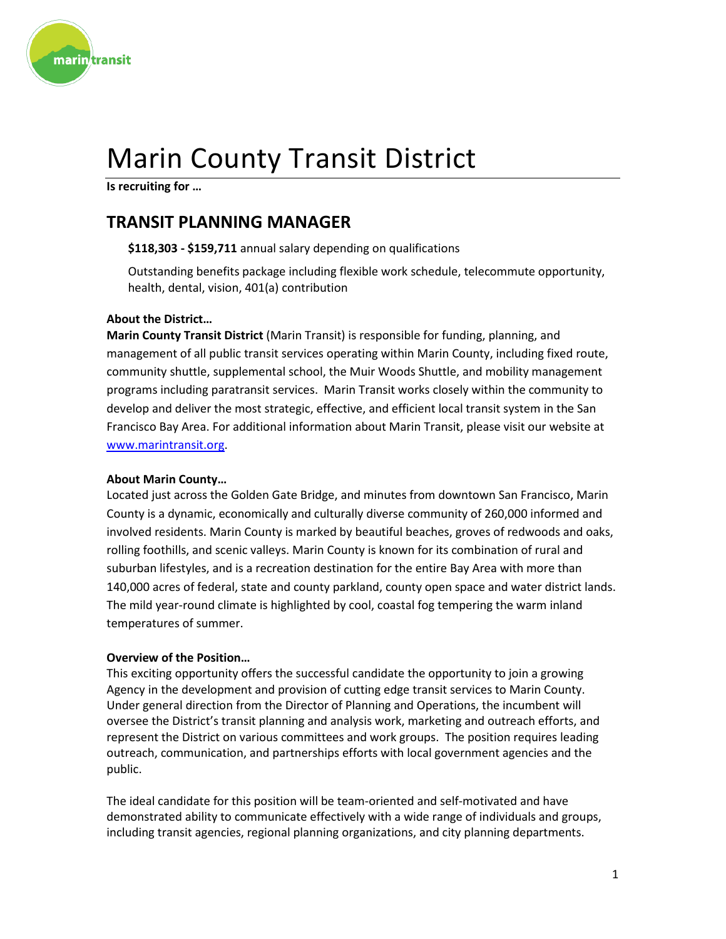

# Marin County Transit District

**Is recruiting for …**

# **TRANSIT PLANNING MANAGER**

**\$118,303 - \$159,711** annual salary depending on qualifications

Outstanding benefits package including flexible work schedule, telecommute opportunity, health, dental, vision, 401(a) contribution

### **About the District…**

**Marin County Transit District** (Marin Transit) is responsible for funding, planning, and management of all public transit services operating within Marin County, including fixed route, community shuttle, supplemental school, the Muir Woods Shuttle, and mobility management programs including paratransit services. Marin Transit works closely within the community to develop and deliver the most strategic, effective, and efficient local transit system in the San Francisco Bay Area. For additional information about Marin Transit, please visit our website at [www.marintransit.org.](http://www.marintransit.org/)

### **About Marin County…**

Located just across the Golden Gate Bridge, and minutes from downtown San Francisco, Marin County is a dynamic, economically and culturally diverse community of 260,000 informed and involved residents. Marin County is marked by beautiful beaches, groves of redwoods and oaks, rolling foothills, and scenic valleys. Marin County is known for its combination of rural and suburban lifestyles, and is a recreation destination for the entire Bay Area with more than 140,000 acres of federal, state and county parkland, county open space and water district lands. The mild year-round climate is highlighted by cool, coastal fog tempering the warm inland temperatures of summer.

#### **Overview of the Position…**

This exciting opportunity offers the successful candidate the opportunity to join a growing Agency in the development and provision of cutting edge transit services to Marin County. Under general direction from the Director of Planning and Operations, the incumbent will oversee the District's transit planning and analysis work, marketing and outreach efforts, and represent the District on various committees and work groups. The position requires leading outreach, communication, and partnerships efforts with local government agencies and the public.

The ideal candidate for this position will be team-oriented and self-motivated and have demonstrated ability to communicate effectively with a wide range of individuals and groups, including transit agencies, regional planning organizations, and city planning departments.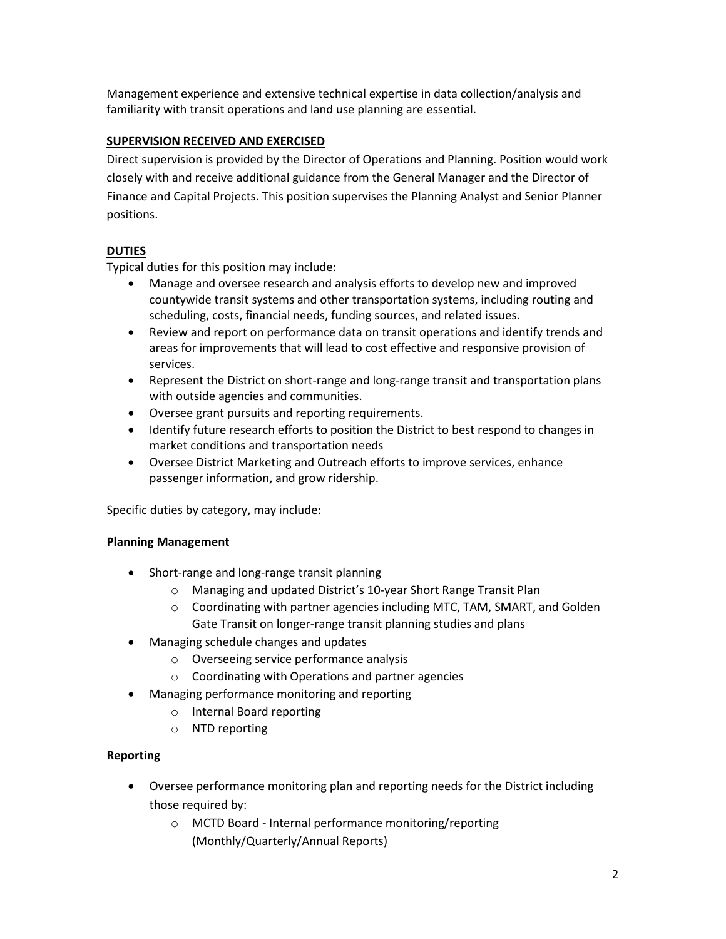Management experience and extensive technical expertise in data collection/analysis and familiarity with transit operations and land use planning are essential.

## **SUPERVISION RECEIVED AND EXERCISED**

Direct supervision is provided by the Director of Operations and Planning. Position would work closely with and receive additional guidance from the General Manager and the Director of Finance and Capital Projects. This position supervises the Planning Analyst and Senior Planner positions.

# **DUTIES**

Typical duties for this position may include:

- Manage and oversee research and analysis efforts to develop new and improved countywide transit systems and other transportation systems, including routing and scheduling, costs, financial needs, funding sources, and related issues.
- Review and report on performance data on transit operations and identify trends and areas for improvements that will lead to cost effective and responsive provision of services.
- Represent the District on short-range and long-range transit and transportation plans with outside agencies and communities.
- Oversee grant pursuits and reporting requirements.
- Identify future research efforts to position the District to best respond to changes in market conditions and transportation needs
- Oversee District Marketing and Outreach efforts to improve services, enhance passenger information, and grow ridership.

Specific duties by category, may include:

### **Planning Management**

- Short-range and long-range transit planning
	- o Managing and updated District's 10-year Short Range Transit Plan
	- $\circ$  Coordinating with partner agencies including MTC, TAM, SMART, and Golden Gate Transit on longer-range transit planning studies and plans
- Managing schedule changes and updates
	- o Overseeing service performance analysis
	- o Coordinating with Operations and partner agencies
- Managing performance monitoring and reporting
	- o Internal Board reporting
	- o NTD reporting

### **Reporting**

- Oversee performance monitoring plan and reporting needs for the District including those required by:
	- o MCTD Board Internal performance monitoring/reporting (Monthly/Quarterly/Annual Reports)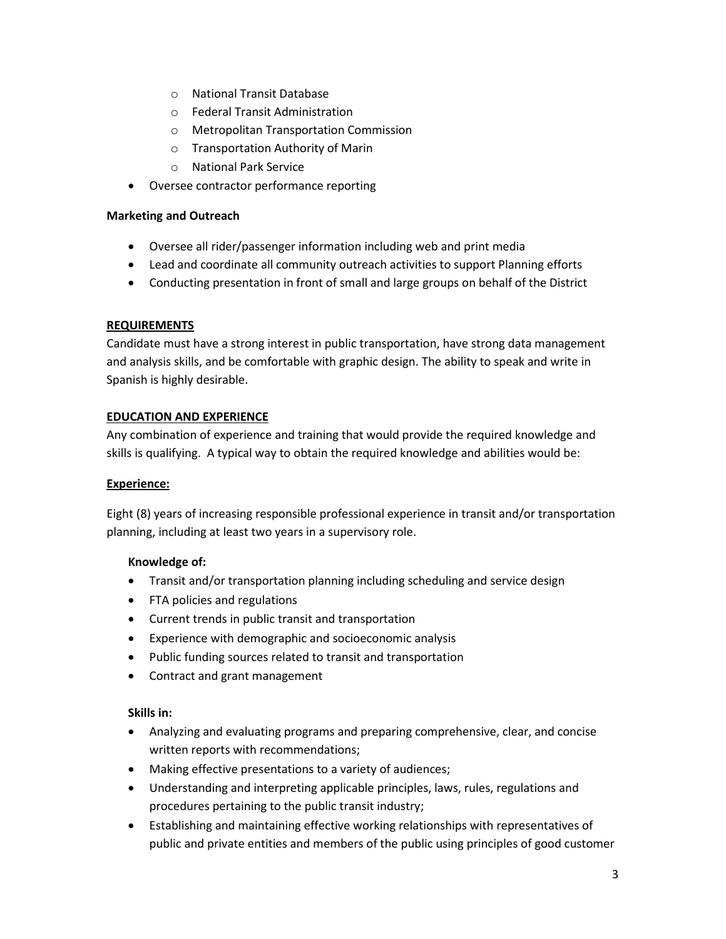- o National Transit Database
- o Federal Transit Administration
- o Metropolitan Transportation Commission
- o Transportation Authority of Marin
- o National Park Service
- Oversee contractor performance reporting

#### **Marketing and Outreach**

- Oversee all rider/passenger information including web and print media
- Lead and coordinate all community outreach activities to support Planning efforts
- Conducting presentation in front of small and large groups on behalf of the District

### **REQUIREMENTS**

Candidate must have a strong interest in public transportation, have strong data management and analysis skills, and be comfortable with graphic design. The ability to speak and write in Spanish is highly desirable.

### **EDUCATION AND EXPERIENCE**

Any combination of experience and training that would provide the required knowledge and skills is qualifying. A typical way to obtain the required knowledge and abilities would be:

### **Experience:**

Eight (8) years of increasing responsible professional experience in transit and/or transportation planning, including at least two years in a supervisory role.

### **Knowledge of:**

- Transit and/or transportation planning including scheduling and service design
- FTA policies and regulations
- Current trends in public transit and transportation
- Experience with demographic and socioeconomic analysis
- Public funding sources related to transit and transportation
- Contract and grant management

### **Skills in:**

- Analyzing and evaluating programs and preparing comprehensive, clear, and concise written reports with recommendations;
- Making effective presentations to a variety of audiences;
- Understanding and interpreting applicable principles, laws, rules, regulations and procedures pertaining to the public transit industry;
- Establishing and maintaining effective working relationships with representatives of public and private entities and members of the public using principles of good customer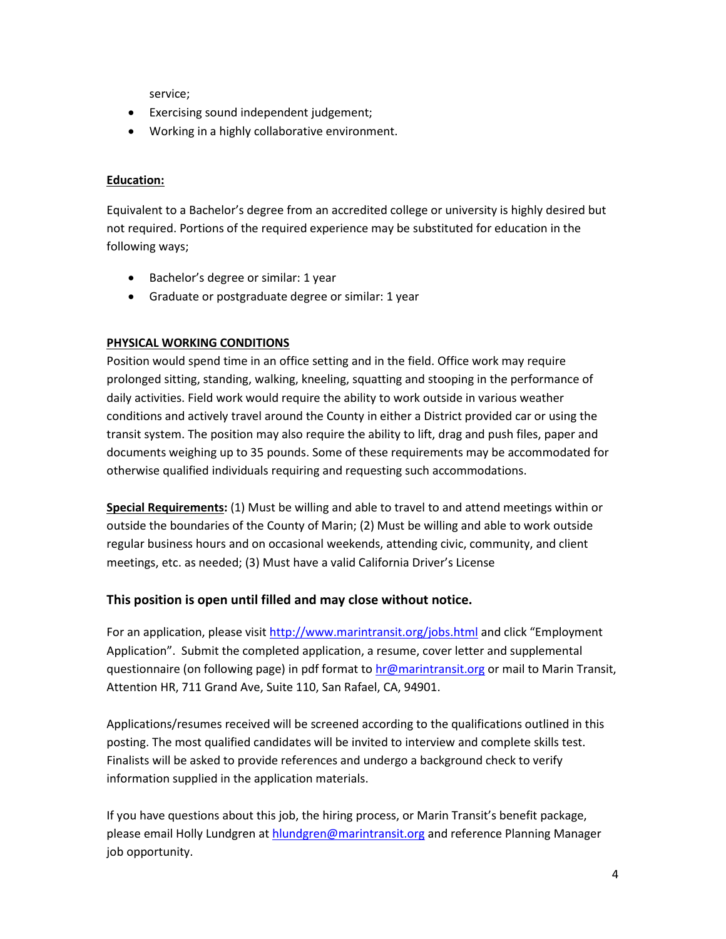service;

- Exercising sound independent judgement;
- Working in a highly collaborative environment.

#### **Education:**

Equivalent to a Bachelor's degree from an accredited college or university is highly desired but not required. Portions of the required experience may be substituted for education in the following ways;

- Bachelor's degree or similar: 1 year
- Graduate or postgraduate degree or similar: 1 year

### **PHYSICAL WORKING CONDITIONS**

Position would spend time in an office setting and in the field. Office work may require prolonged sitting, standing, walking, kneeling, squatting and stooping in the performance of daily activities. Field work would require the ability to work outside in various weather conditions and actively travel around the County in either a District provided car or using the transit system. The position may also require the ability to lift, drag and push files, paper and documents weighing up to 35 pounds. Some of these requirements may be accommodated for otherwise qualified individuals requiring and requesting such accommodations.

**Special Requirements:** (1) Must be willing and able to travel to and attend meetings within or outside the boundaries of the County of Marin; (2) Must be willing and able to work outside regular business hours and on occasional weekends, attending civic, community, and client meetings, etc. as needed; (3) Must have a valid California Driver's License

### **This position is open until filled and may close without notice.**

For an application, please visit [http://www.marintransit.org/jobs.html](http://www.marintransit.org/jobs.htmln) and click "Employment Application". Submit the completed application, a resume, cover letter and supplemental questionnaire (on following page) in pdf format t[o hr@marintransit.org](mailto:hr@marintransit.org) or mail to Marin Transit, Attention HR, 711 Grand Ave, Suite 110, San Rafael, CA, 94901.

Applications/resumes received will be screened according to the qualifications outlined in this posting. The most qualified candidates will be invited to interview and complete skills test. Finalists will be asked to provide references and undergo a background check to verify information supplied in the application materials.

If you have questions about this job, the hiring process, or Marin Transit's benefit package, please email Holly Lundgren a[t hlundgren@marintransit.org](mailto:hlundgren@marintransit.org) and reference Planning Manager job opportunity.